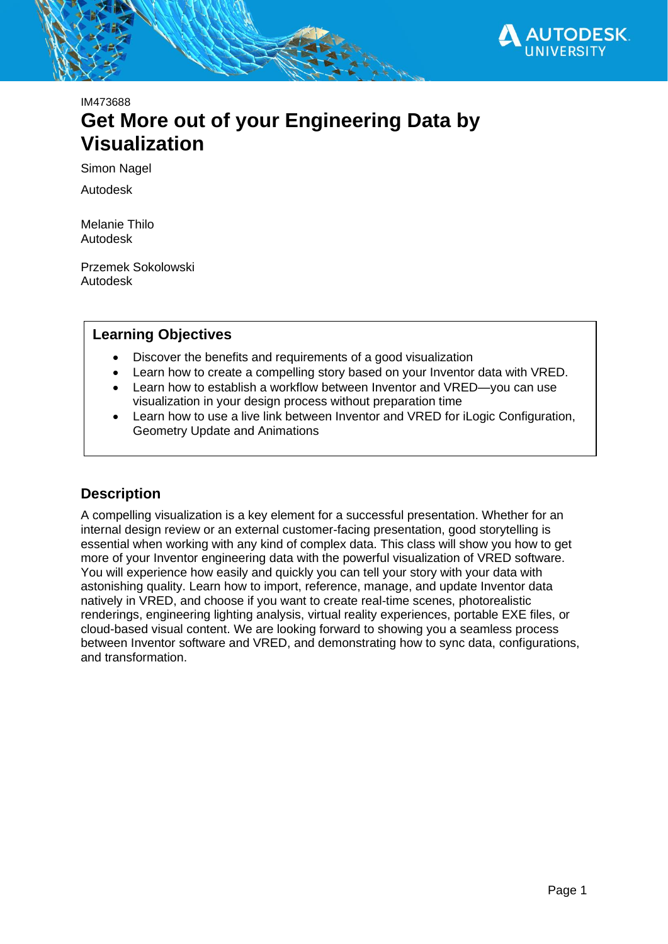

# IM473688 **Get More out of your Engineering Data by Visualization**

Simon Nagel

Autodesk

Melanie Thilo Autodesk

Przemek Sokolowski Autodesk

## **Learning Objectives**

- Discover the benefits and requirements of a good visualization
- Learn how to create a compelling story based on your Inventor data with VRED.
- Learn how to establish a workflow between Inventor and VRED—you can use visualization in your design process without preparation time
- Learn how to use a live link between Inventor and VRED for iLogic Configuration, Geometry Update and Animations

## <span id="page-0-0"></span>**Description**

A compelling visualization is a key element for a successful presentation. Whether for an internal design review or an external customer-facing presentation, good storytelling is essential when working with any kind of complex data. This class will show you how to get more of your Inventor engineering data with the powerful visualization of VRED software. You will experience how easily and quickly you can tell your story with your data with astonishing quality. Learn how to import, reference, manage, and update Inventor data natively in VRED, and choose if you want to create real-time scenes, photorealistic renderings, engineering lighting analysis, virtual reality experiences, portable EXE files, or cloud-based visual content. We are looking forward to showing you a seamless process between Inventor software and VRED, and demonstrating how to sync data, configurations, and transformation.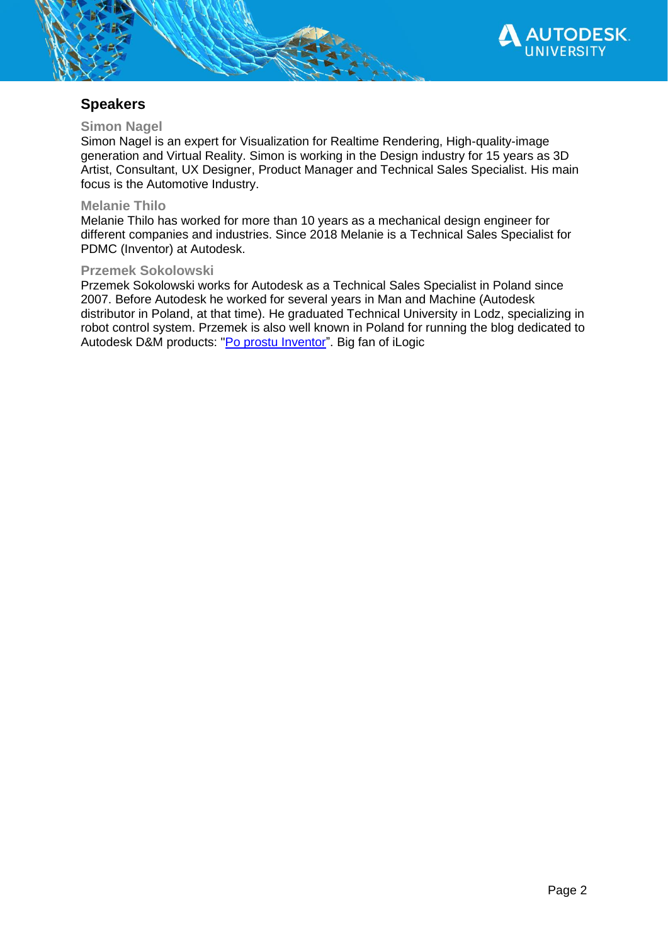

## <span id="page-1-0"></span>**Speakers**

## <span id="page-1-1"></span>**Simon Nagel**

Simon Nagel is an expert for Visualization for Realtime Rendering, High-quality-image generation and Virtual Reality. Simon is working in the Design industry for 15 years as 3D Artist, Consultant, UX Designer, Product Manager and Technical Sales Specialist. His main focus is the Automotive Industry.

### <span id="page-1-2"></span>**Melanie Thilo**

Melanie Thilo has worked for more than 10 years as a mechanical design engineer for different companies and industries. Since 2018 Melanie is a Technical Sales Specialist for PDMC (Inventor) at Autodesk.

## <span id="page-1-3"></span>**Przemek Sokolowski**

Przemek Sokolowski works for Autodesk as a Technical Sales Specialist in Poland since 2007. Before Autodesk he worked for several years in Man and Machine (Autodesk distributor in Poland, at that time). He graduated Technical University in Lodz, specializing in robot control system. Przemek is also well known in Poland for running the blog dedicated to Autodesk D&M products: ["Po prostu](https://autodesk-inventor-pl.typepad.com/my-blog/) [Inventor"](https://autodesk-inventor-pl.typepad.com/my-blog/). Big fan of iLogic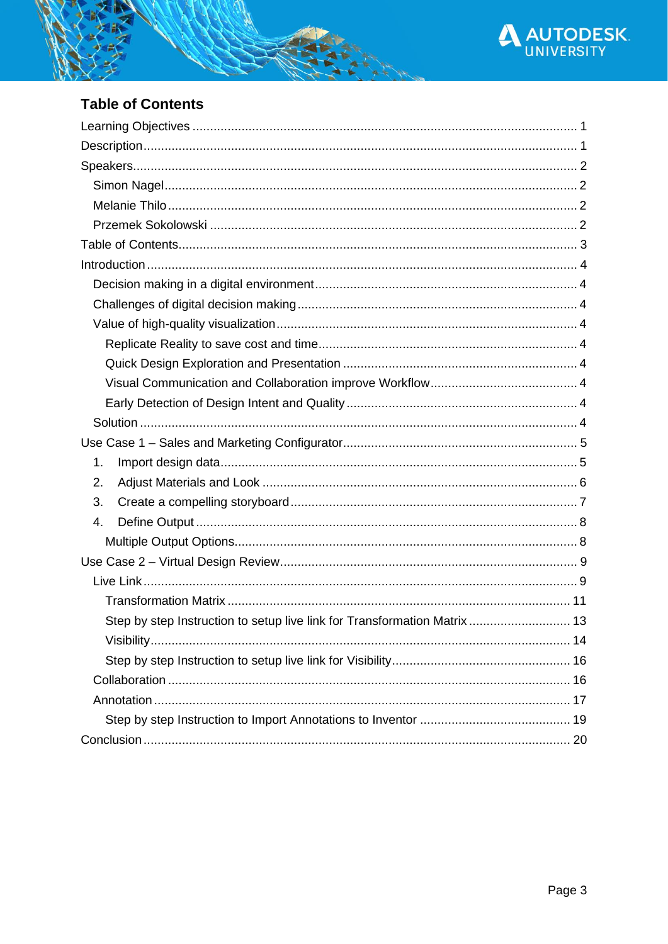

# <span id="page-2-0"></span>**Table of Contents**

| 1.                                                                    |    |
|-----------------------------------------------------------------------|----|
| 2.                                                                    |    |
| 3.                                                                    |    |
| 4.                                                                    |    |
|                                                                       |    |
|                                                                       |    |
|                                                                       |    |
|                                                                       |    |
| Step by step Instruction to setup live link for Transformation Matrix | 13 |
|                                                                       |    |
|                                                                       |    |
|                                                                       |    |
|                                                                       |    |
|                                                                       |    |
|                                                                       |    |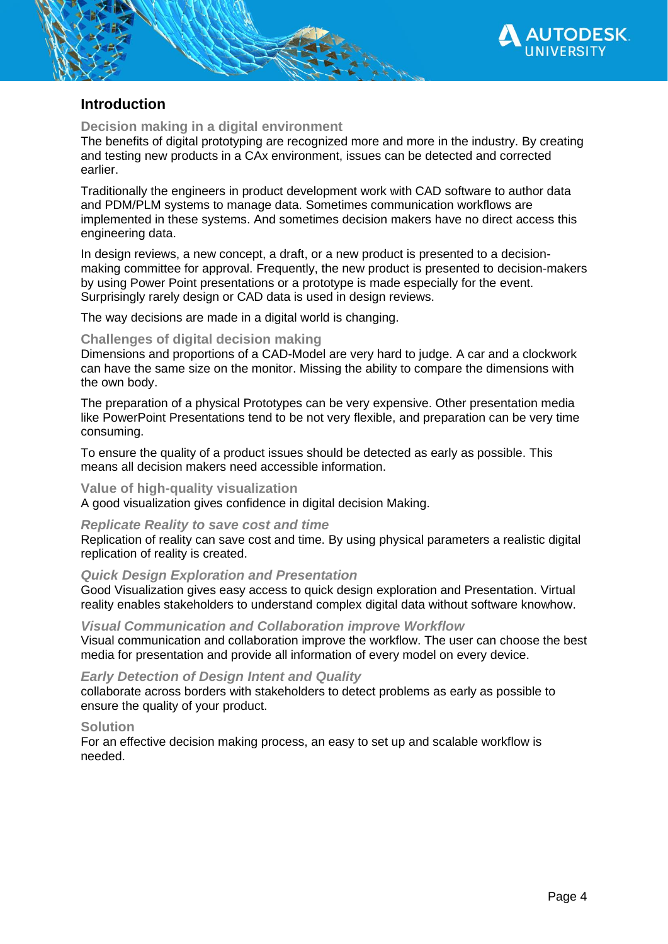

## <span id="page-3-0"></span>**Introduction**

## <span id="page-3-1"></span>**Decision making in a digital environment**

The benefits of digital prototyping are recognized more and more in the industry. By creating and testing new products in a CAx environment, issues can be detected and corrected earlier.

Traditionally the engineers in product development work with CAD software to author data and PDM/PLM systems to manage data. Sometimes communication workflows are implemented in these systems. And sometimes decision makers have no direct access this engineering data.

In design reviews, a new concept, a draft, or a new product is presented to a decisionmaking committee for approval. Frequently, the new product is presented to decision-makers by using Power Point presentations or a prototype is made especially for the event. Surprisingly rarely design or CAD data is used in design reviews.

The way decisions are made in a digital world is changing.

## <span id="page-3-2"></span>**Challenges of digital decision making**

Dimensions and proportions of a CAD-Model are very hard to judge. A car and a clockwork can have the same size on the monitor. Missing the ability to compare the dimensions with the own body.

The preparation of a physical Prototypes can be very expensive. Other presentation media like PowerPoint Presentations tend to be not very flexible, and preparation can be very time consuming.

To ensure the quality of a product issues should be detected as early as possible. This means all decision makers need accessible information.

## <span id="page-3-3"></span>**Value of high-quality visualization**

A good visualization gives confidence in digital decision Making.

### <span id="page-3-4"></span>*Replicate Reality to save cost and time*

Replication of reality can save cost and time. By using physical parameters a realistic digital replication of reality is created.

## <span id="page-3-5"></span>*Quick Design Exploration and Presentation*

Good Visualization gives easy access to quick design exploration and Presentation. Virtual reality enables stakeholders to understand complex digital data without software knowhow.

### <span id="page-3-6"></span>*Visual Communication and Collaboration improve Workflow*

Visual communication and collaboration improve the workflow. The user can choose the best media for presentation and provide all information of every model on every device.

## <span id="page-3-7"></span>*Early Detection of Design Intent and Quality*

collaborate across borders with stakeholders to detect problems as early as possible to ensure the quality of your product.

## <span id="page-3-8"></span>**Solution**

For an effective decision making process, an easy to set up and scalable workflow is needed.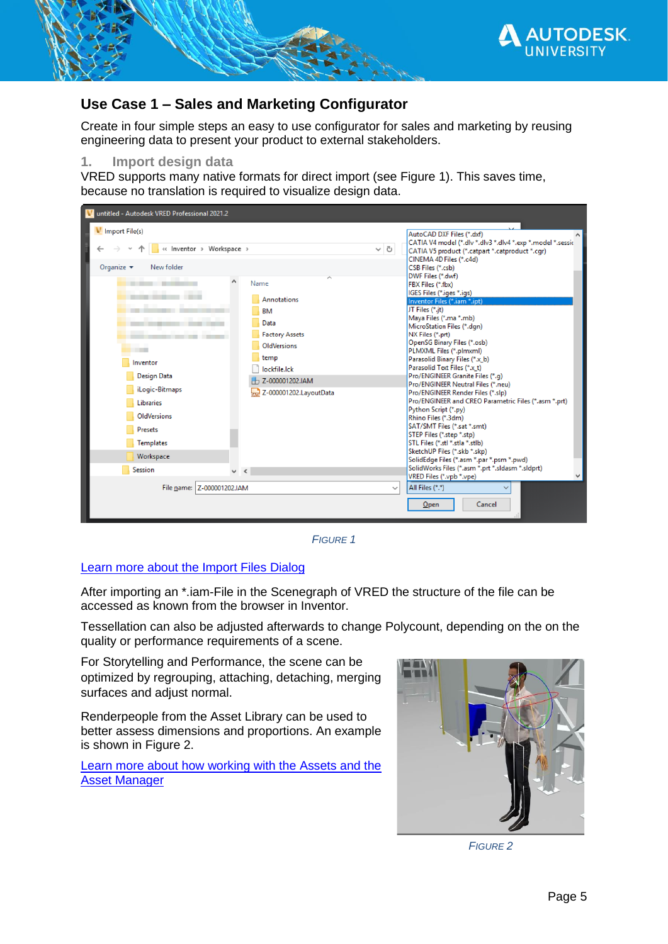

## <span id="page-4-0"></span>**Use Case 1 – Sales and Marketing Configurator**

Create in four simple steps an easy to use configurator for sales and marketing by reusing engineering data to present your product to external stakeholders.

## <span id="page-4-1"></span>**1. Import design data**

VRED supports many native formats for direct import (see [Figure 1\)](#page-4-2). This saves time, because no translation is required to visualize design data.



*FIGURE 1*

## <span id="page-4-2"></span>[Learn more about the Import Files Dialog](https://knowledge.autodesk.com/support/vred-products/learn-explore/caas/CloudHelp/cloudhelp/2021/ENU/VRED/files/VRED-Basics/VRED-VRED-Basics-About-the-Import-Files-Dialog-html-html.html)

After importing an \*.iam-File in the Scenegraph of VRED the structure of the file can be accessed as known from the browser in Inventor.

Tessellation can also be adjusted afterwards to change Polycount, depending on the on the quality or performance requirements of a scene.

For Storytelling and Performance, the scene can be optimized by regrouping, attaching, detaching, merging surfaces and adjust normal.

Renderpeople from the Asset Library can be used to better assess dimensions and proportions. An example is shown in [Figure 2.](#page-4-3)

[Learn more about how working with the Assets and the](https://knowledge.autodesk.com/support/vred-products/learn-explore/caas/CloudHelp/cloudhelp/2021/ENU/VRED/files/Assets/VRED-Assets-Working-with-the-Asset-Manager-html-html.html)  [Asset Manager](https://knowledge.autodesk.com/support/vred-products/learn-explore/caas/CloudHelp/cloudhelp/2021/ENU/VRED/files/Assets/VRED-Assets-Working-with-the-Asset-Manager-html-html.html)

<span id="page-4-3"></span>

*FIGURE 2*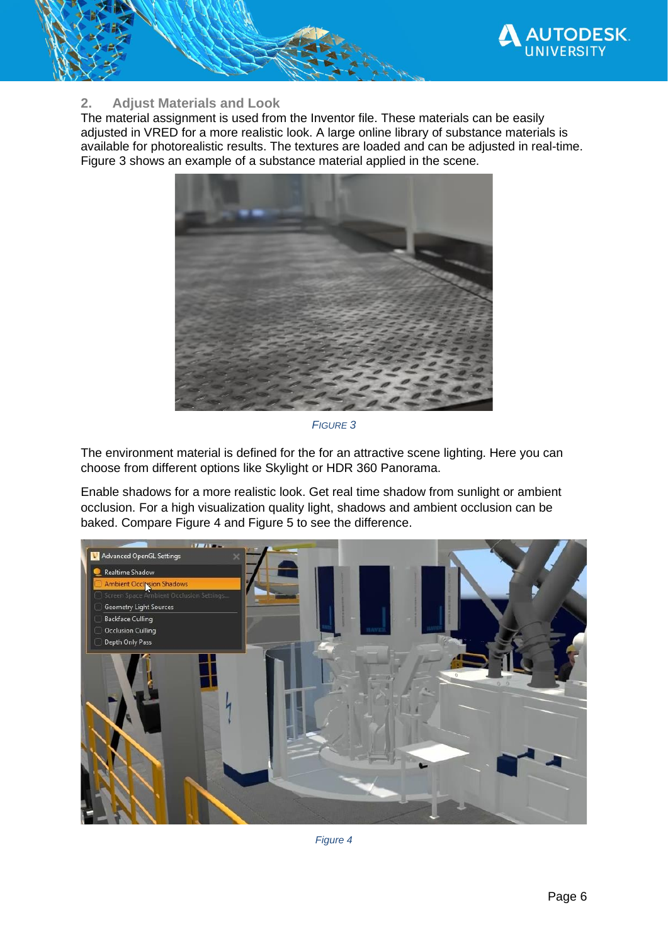

## <span id="page-5-0"></span>**2. Adjust Materials and Look**

The material assignment is used from the Inventor file. These materials can be easily adjusted in VRED for a more realistic look. A large online library of substance materials is available for photorealistic results. The textures are loaded and can be adjusted in real-time. [Figure 3](#page-5-1) shows an example of a substance material applied in the scene.



*FIGURE 3*

<span id="page-5-1"></span>The environment material is defined for the for an attractive scene lighting. Here you can choose from different options like Skylight or HDR 360 Panorama.

Enable shadows for a more realistic look. Get real time shadow from sunlight or ambient occlusion. For a high visualization quality light, shadows and ambient occlusion can be baked. Compare [Figure 4](#page-5-2) and [Figure 5](#page-6-1) to see the difference.

<span id="page-5-2"></span>

*Figure 4*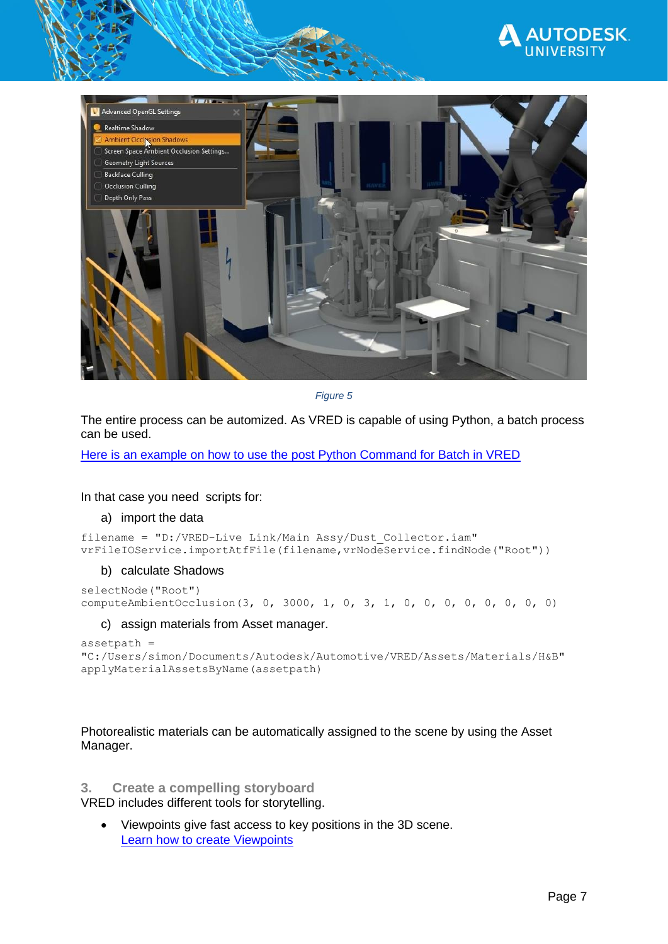



*Figure 5*

<span id="page-6-1"></span>The entire process can be automized. As VRED is capable of using Python, a batch process can be used.

[Here is an example on how to use the post Python Command for Batch in VRED](https://knowledge.autodesk.com/de/support/vred-products/troubleshooting/caas/sfdcarticles/sfdcarticles/DEU/How-to-use-post-python-commands-to-load-a-VRED-scene-via-command-line.html)

In that case you need scripts for:

#### a) import the data

```
filename = "D:/VRED-Live Link/Main Assy/Dust_Collector.iam"
vrFileIOService.importAtfFile(filename,vrNodeService.findNode("Root"))
```
#### b) calculate Shadows

```
selectNode("Root")
computeAmbientOcclusion(3, 0, 3000, 1, 0, 3, 1, 0, 0, 0, 0, 0, 0, 0, 0)
```
#### c) assign materials from Asset manager.

```
assetpath = 
"C:/Users/simon/Documents/Autodesk/Automotive/VRED/Assets/Materials/H&B"
applyMaterialAssetsByName(assetpath)
```
Photorealistic materials can be automatically assigned to the scene by using the Asset Manager.

## <span id="page-6-0"></span>**3. Create a compelling storyboard**

VRED includes different tools for storytelling.

• Viewpoints give fast access to key positions in the 3D scene. [Learn how to create Viewpoints](https://knowledge.autodesk.com/support/vred-products/learn-explore/caas/CloudHelp/cloudhelp/2018/ENU/VRED/files/GUID-6F716D48-6BDF-4DE4-B6D5-AEE78D7FF52C-htm.html)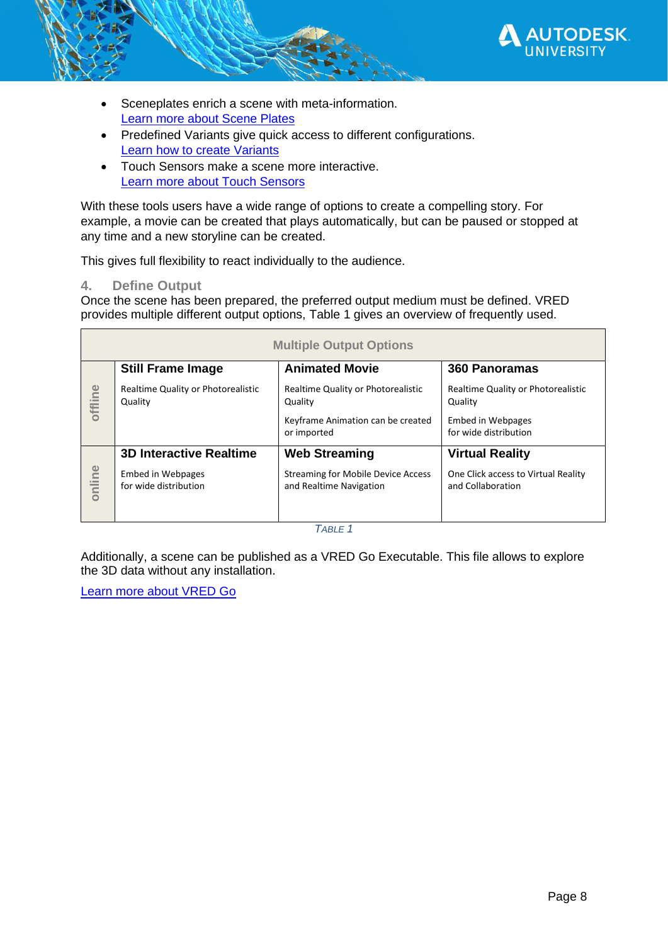

- Sceneplates enrich a scene with meta-information. [Learn more about Scene Plates](https://knowledge.autodesk.com/support/vred-products/learn-explore/caas/CloudHelp/cloudhelp/2021/ENU/VRED/files/VRED-Sceneplates-html-html.html)
- Predefined Variants give quick access to different configurations. [Learn how to create Variants](https://knowledge.autodesk.com/support/vred-products/learn-explore/caas/CloudHelp/cloudhelp/2021/ENU/VRED/files/Variants/VRED-Variants-Creating-Variants-html-html.html)
- Touch Sensors make a scene more interactive. [Learn more about Touch Sensors](https://knowledge.autodesk.com/support/vred-products/learn-explore/caas/CloudHelp/cloudhelp/2021/ENU/VRED/files/Scene-Interaction/VRED-Scene-Interaction-Creating-a-Touch-Sensor-html-html.html)

With these tools users have a wide range of options to create a compelling story. For example, a movie can be created that plays automatically, but can be paused or stopped at any time and a new storyline can be created.

This gives full flexibility to react individually to the audience.

## <span id="page-7-0"></span>**4. Define Output**

Once the scene has been prepared, the preferred output medium must be defined. VRED provides multiple different output options, [Table 1](#page-7-2) gives an overview of frequently used.

<span id="page-7-1"></span>

| <b>Multiple Output Options</b> |                                                   |                                                                      |                                                          |
|--------------------------------|---------------------------------------------------|----------------------------------------------------------------------|----------------------------------------------------------|
|                                | <b>Still Frame Image</b>                          | <b>Animated Movie</b>                                                | 360 Panoramas                                            |
| offline                        | Realtime Quality or Photorealistic<br>Quality     | Realtime Quality or Photorealistic<br>Quality                        | Realtime Quality or Photorealistic<br>Quality            |
|                                |                                                   | Keyframe Animation can be created<br>or imported                     | Embed in Webpages<br>for wide distribution               |
|                                | <b>3D Interactive Realtime</b>                    | <b>Web Streaming</b>                                                 | <b>Virtual Reality</b>                                   |
| online                         | <b>Embed in Webpages</b><br>for wide distribution | <b>Streaming for Mobile Device Access</b><br>and Realtime Navigation | One Click access to Virtual Reality<br>and Collaboration |

*TABLE 1*

<span id="page-7-2"></span>Additionally, a scene can be published as a VRED Go Executable. This file allows to explore the 3D data without any installation.

[Learn more about VRED Go](https://knowledge.autodesk.com/support/vred-products/learn-explore/caas/CloudHelp/cloudhelp/2021/ENU/VRED/files/VRED-Basics/VRED-VRED-Basics-VRED-Go-html-html.html)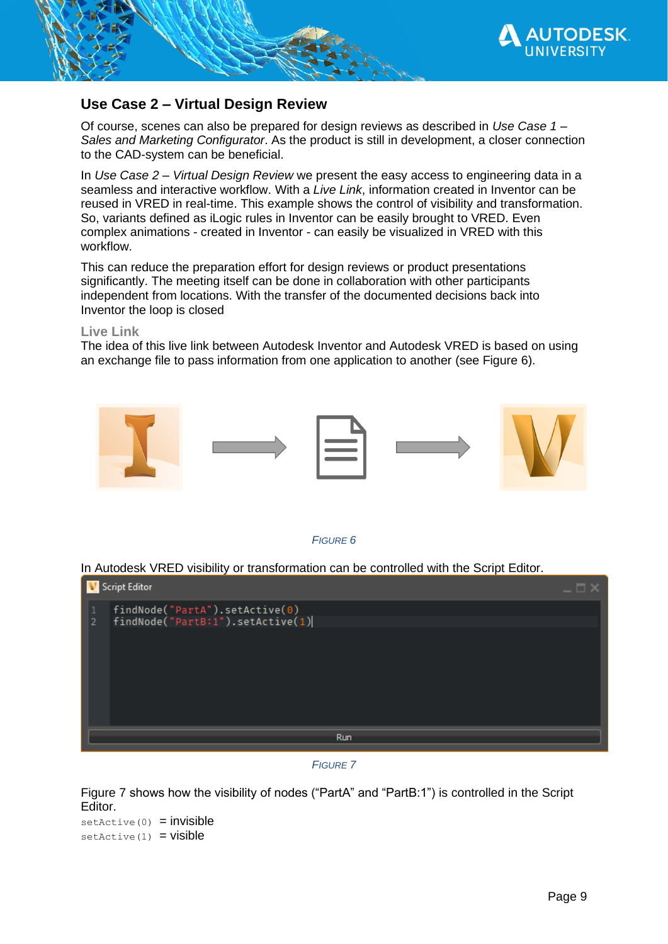

## <span id="page-8-0"></span>**Use Case 2 – Virtual Design Review**

Of course, scenes can also be prepared for design reviews as described in *[Use Case 1](#page-4-0) – [Sales and Marketing Configurator](#page-4-0)*. As the product is still in development, a closer connection to the CAD-system can be beneficial.

In *Use Case 2 – [Virtual Design Review](#page-8-0)* we present the easy access to engineering data in a seamless and interactive workflow. With a *[Live Link](#page-8-1)*, information created in Inventor can be reused in VRED in real-time. This example shows the control of visibility and transformation. So, variants defined as iLogic rules in Inventor can be easily brought to VRED. Even complex animations - created in Inventor - can easily be visualized in VRED with this workflow.

This can reduce the preparation effort for design reviews or product presentations significantly. The meeting itself can be done in collaboration with other participants independent from locations. With the transfer of the documented decisions back into Inventor the loop is closed

## <span id="page-8-1"></span>**Live Link**

The idea of this live link between Autodesk Inventor and Autodesk VRED is based on using an exchange file to pass information from one application to another (see [Figure 6\)](#page-8-2).



### *FIGURE 6*

<span id="page-8-2"></span>In Autodesk VRED visibility or transformation can be controlled with the Script Editor.



*FIGURE 7*

<span id="page-8-3"></span>[Figure 7](#page-8-3) shows how the visibility of nodes ("PartA" and "PartB:1") is controlled in the Script Editor.

 $setActive(0) = invisible$  $setActive(1) = visible$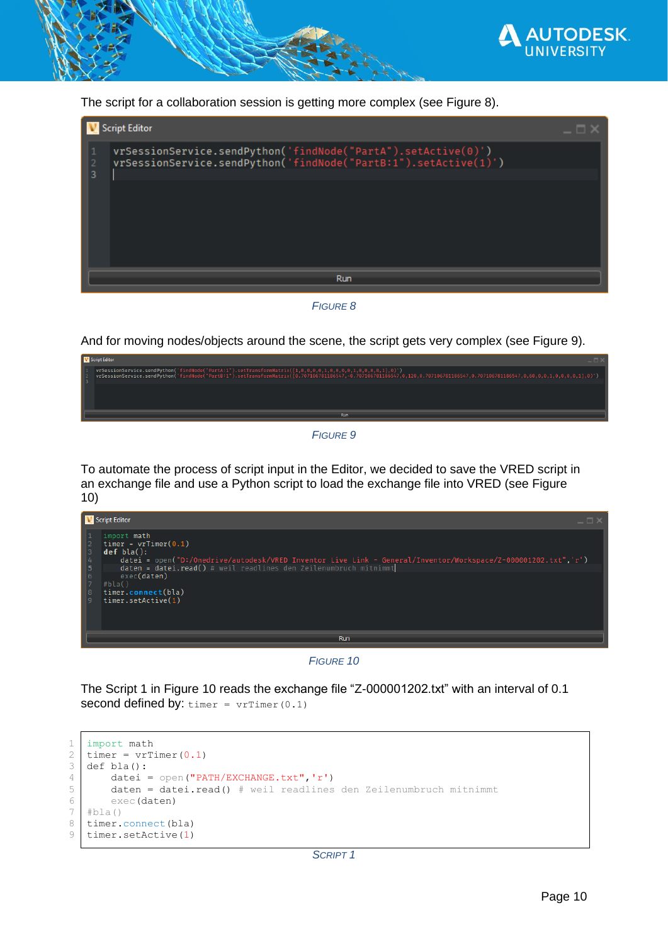

The script for a collaboration session is getting more complex (see [Figure 8\)](#page-9-0).

| <b>Script Editor</b>                                                                                                                            |  |
|-------------------------------------------------------------------------------------------------------------------------------------------------|--|
| vrSessionService.sendPython('findNode("PartA").setActive(0)')<br>1<br>vrSessionService.sendPython('findNode("PartB:1").setActive(1)')<br>2<br>3 |  |
|                                                                                                                                                 |  |
|                                                                                                                                                 |  |
| Run                                                                                                                                             |  |

*FIGURE 8*

<span id="page-9-0"></span>And for moving nodes/objects around the scene, the script gets very complex (see [Figure 9\)](#page-9-1).



*FIGURE 9*

<span id="page-9-1"></span>To automate the process of script input in the Editor, we decided to save the VRED script in an exchange file and use a Python script to load the exchange file into VRED (see [Figure](#page-9-2)  [10\)](#page-9-2)



*FIGURE 10*

<span id="page-9-2"></span>The [Script 1](#page-9-3) in [Figure 10](#page-9-2) reads the exchange file "Z-000001202.txt" with an interval of 0.1 **second defined by:**  $\tt{timer} = vrrimer(0.1)$ 

```
1
2
3
4
5
6
7
8
9
   import math
   timer = vrTimer(0.1)def bla():
      datei = open("PATH/EXCHANGE.txt", 'r')
        daten = datei.read() # weil readlines den Zeilenumbruch mitnimmt
        exec(daten)
   #bla()
   timer.connect(bla)
   timer.setActive(1)
```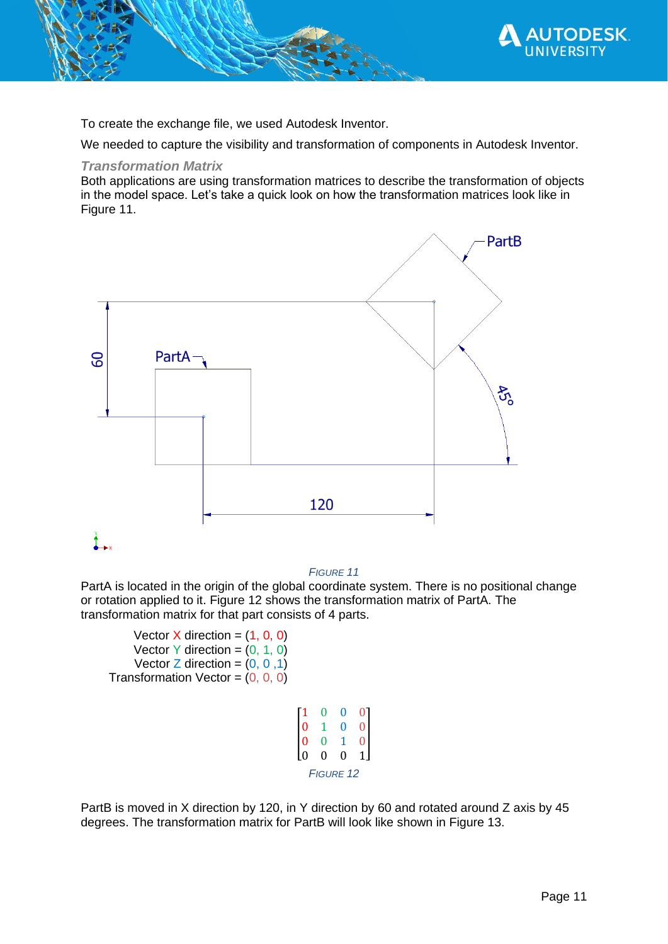

To create the exchange file, we used Autodesk Inventor.

We needed to capture the visibility and transformation of components in Autodesk Inventor.

## <span id="page-10-0"></span>*Transformation Matrix*

Both applications are using transformation matrices to describe the transformation of objects in the model space. Let's take a quick look on how the transformation matrices look like in [Figure 11.](#page-10-1)



#### *FIGURE 11*

<span id="page-10-1"></span>PartA is located in the origin of the global coordinate system. There is no positional change or rotation applied to it. [Figure 12](#page-10-2) shows the transformation matrix of PartA. The transformation matrix for that part consists of 4 parts.

Vector  $X$  direction =  $(1, 0, 0)$ Vector Y direction =  $(0, 1, 0)$ Vector  $Z$  direction =  $(0, 0, 1)$ Transformation Vector =  $(0, 0, 0)$ 

|                 | 0                | 0 |  |
|-----------------|------------------|---|--|
| O               | L                | 0 |  |
|                 | 0                | 1 |  |
| $\overline{10}$ | 0                | 0 |  |
|                 | <b>FIGURE 12</b> |   |  |

<span id="page-10-2"></span>PartB is moved in X direction by 120, in Y direction by 60 and rotated around Z axis by 45 degrees. The transformation matrix for PartB will look like shown in [Figure 13.](#page-11-0)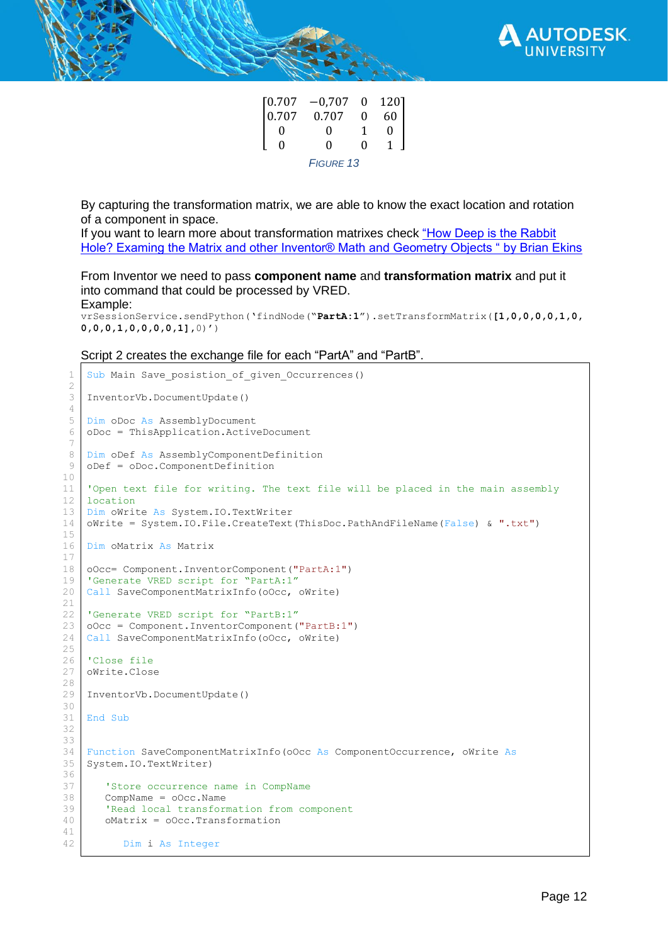

| [0.707] | $-0,707$  | $\bf{0}$ | 1201 |
|---------|-----------|----------|------|
| 0.707   | 0.707     | O        | 60   |
|         | 0         |          |      |
| Ω       | Ω         | Ω        |      |
|         | FIGURE 13 |          |      |

<span id="page-11-0"></span>By capturing the transformation matrix, we are able to know the exact location and rotation of a component in space.

If you want to learn more about transformation matrixes check "How Deep is the Rabbit [Hole? Examing the Matrix and other Inventor® Math and Geometry Objects " by Brian Ekins](https://modthemachine.typepad.com/files/vbatoaddins.pdf)

From Inventor we need to pass **component name** and **transformation matrix** and put it into command that could be processed by VRED. Example:

vrSessionService.sendPython('findNode("**PartA:1**").setTransformMatrix(**[1,0,0,0,0,1,0, 0,0,0,1,0,0,0,0,1],**0)')

[Script 2](#page-12-1) creates the exchange file for each "PartA" and "PartB".

```
Sub Main Save posistion of given Occurrences()
InventorVb.DocumentUpdate()
Dim oDoc As AssemblyDocument
oDoc = ThisApplication.ActiveDocument
Dim oDef As AssemblyComponentDefinition
oDef = oDoc.ComponentDefinition
'Open text file for writing. The text file will be placed in the main assembly 
location
Dim oWrite As System.IO.TextWriter
oWrite = System.IO.File.CreateText(ThisDoc.PathAndFileName(False) & ".txt")
Dim oMatrix As Matrix
oOcc= Component.InventorComponent("PartA:1")
'Generate VRED script for "PartA:1"
Call SaveComponentMatrixInfo(oOcc, oWrite)
'Generate VRED script for "PartB:1"
oOcc = Component.InventorComponent("PartB:1")
Call SaveComponentMatrixInfo(oOcc, oWrite)
'Close file
oWrite.Close
InventorVb.DocumentUpdate()
End Sub
Function SaveComponentMatrixInfo(oOcc As ComponentOccurrence, oWrite As
System.IO.TextWriter)
    'Store occurrence name in CompName
    CompName = oOcc.Name
    'Read local transformation from component
    oMatrix = oOcc.Transformation
       Dim i As Integer
```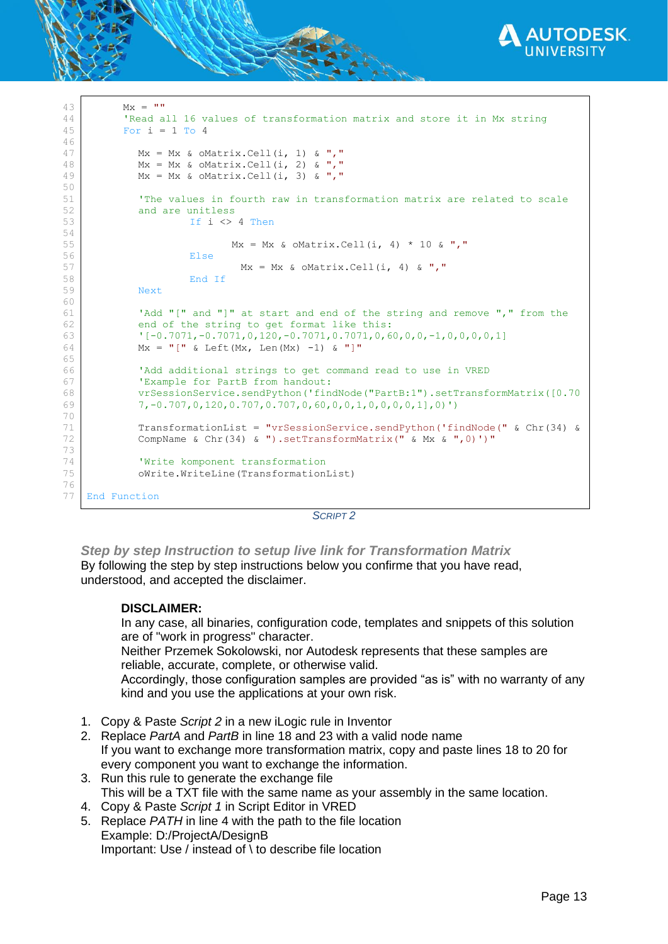

```
43
44
45
46
47
48
49
50
51
52
53
54
55
56
57
58
59
60
61
62
63
64
65
66
67
68
69
70
71
72
73
74
75
76
77
          Mx = ""
           'Read all 16 values of transformation matrix and store it in Mx string
          For i = 1 To 4
             Mx = Mx & oMatrix.Cell(i, 1) & ","
            Mx = Mx & OMatrix.Cell(i, 2) & ","
            Mx = Mx & oMatrix. Cell(i, 3) & ", "
            'The values in fourth raw in transformation matrix are related to scale 
            and are unitless
                     If i \leq 4 Then
                            Mx = Mx & OMatrix.Cell(i, 4) * 10 & ", "
                     Else
                              Mx = Mx & OMatrix.Cell(i, 4) & ","
                     End If
            Next
            'Add "[" and "]" at start and end of the string and remove "," from the
            end of the string to get format like this:
            '[-0.7071,-0.7071,0,120,-0.7071,0.7071,0,60,0,0,-1,0,0,0,0,1]
            Mx = "[" & Left(Mx, Len(Mx) -1) & ""'Add additional strings to get command read to use in VRED
            'Example for PartB from handout: 
            vrSessionService.sendPython('findNode("PartB:1").setTransformMatrix([0.70
            7,-0.707,0,120,0.707,0.707,0,60,0,0,1,0,0,0,0,1],0)')
            TransformationList = "vrSessionService.sendPython('findNode(" & Chr(34) & 
            CompName & Chr(34) & ").setTransformMatrix(" & Mx & ",0)')"
            'Write komponent transformation
            oWrite.WriteLine(TransformationList)
    End Function
```
#### *SCRIPT 2*

<span id="page-12-1"></span><span id="page-12-0"></span>*Step by step Instruction to setup live link for Transformation Matrix* By following the step by step instructions below you confirme that you have read, understood, and accepted the disclaimer.

#### **DISCLAIMER:**

In any case, all binaries, configuration code, templates and snippets of this solution are of "work in progress" character.

Neither Przemek Sokolowski, nor Autodesk represents that these samples are reliable, accurate, complete, or otherwise valid.

Accordingly, those configuration samples are provided "as is" with no warranty of any kind and you use the applications at your own risk.

- 1. Copy & Paste *[Script 2](#page-12-1)* in a new iLogic rule in Inventor
- 2. Replace *PartA* and *PartB* in line 18 and 23 with a valid node name If you want to exchange more transformation matrix, copy and paste lines 18 to 20 for every component you want to exchange the information.
- 3. Run this rule to generate the exchange file This will be a TXT file with the same name as your assembly in the same location.
- 4. Copy & Paste *[Script 1](#page-9-3)* in Script Editor in VRED
- 5. Replace *PATH* in line 4 with the path to the file location Example: D:/ProjectA/DesignB Important: Use / instead of \ to describe file location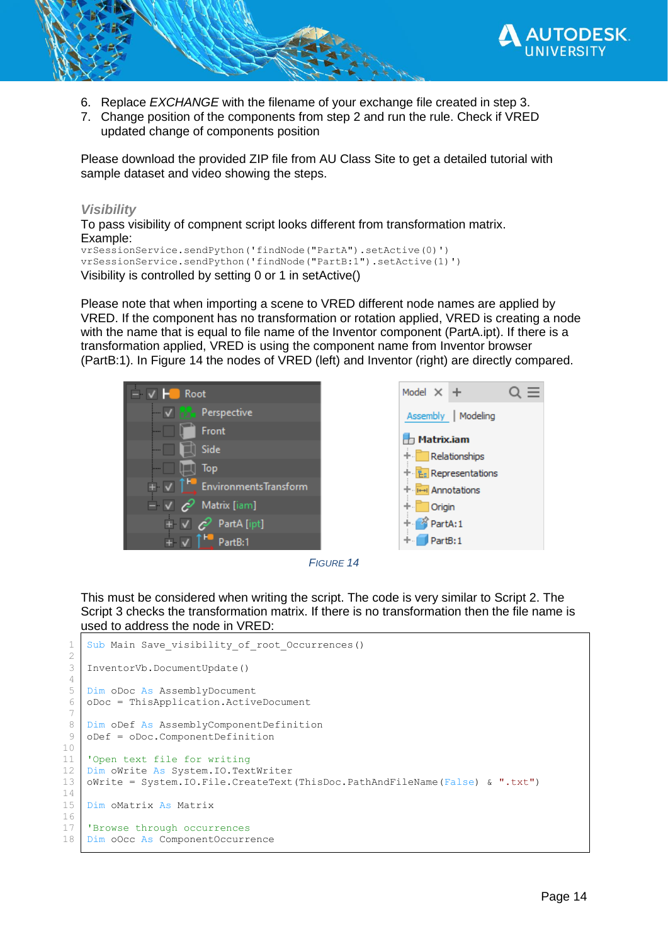

- 6. Replace *EXCHANGE* with the filename of your exchange file created in step 3.
- 7. Change position of the components from step 2 and run the rule. Check if VRED updated change of components position

Please download the provided ZIP file from AU Class Site to get a detailed tutorial with sample dataset and video showing the steps.

## <span id="page-13-0"></span>*Visibility*

To pass visibility of compnent script looks different from transformation matrix. Example:

vrSessionService.sendPython('findNode("PartA").setActive(0)') vrSessionService.sendPython('findNode("PartB:1").setActive(1)') Visibility is controlled by setting 0 or 1 in setActive()

Please note that when importing a scene to VRED different node names are applied by VRED. If the component has no transformation or rotation applied, VRED is creating a node with the name that is equal to file name of the Inventor component (PartA.ipt). If there is a transformation applied, VRED is using the component name from Inventor browser (PartB:1). In [Figure 14](#page-13-1) the nodes of VRED (left) and Inventor (right) are directly compared.







<span id="page-13-1"></span>This must be considered when writing the script. The code is very similar to [Script 2.](#page-12-1) The [Script 3](#page-14-0) checks the transformation matrix. If there is no transformation then the file name is used to address the node in VRED:

```
Sub Main Save_visibility_of root Occurrences()
InventorVb.DocumentUpdate()
Dim oDoc As AssemblyDocument
oDoc = ThisApplication.ActiveDocument
Dim oDef As AssemblyComponentDefinition
oDef = oDoc.ComponentDefinition
'Open text file for writing
Dim oWrite As System.IO.TextWriter
oWrite = System.IO.File.CreateText(ThisDoc.PathAndFileName(False) & ".txt")
Dim oMatrix As Matrix
'Browse through occurrences
Dim oOcc As ComponentOccurrence
```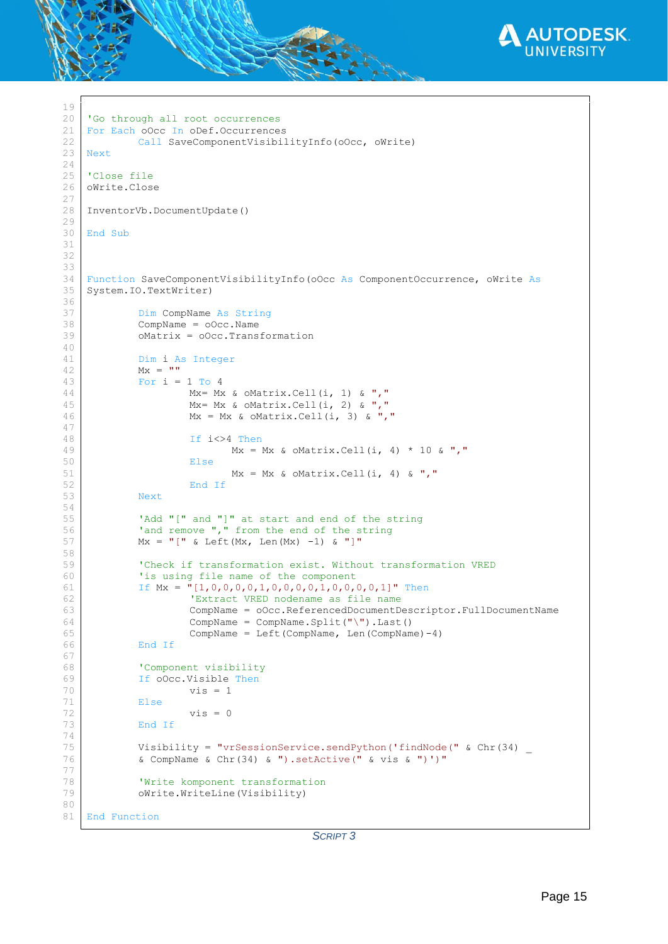

```
19
20
21
22
23
24
25
26
27
28
29
30
31
32
33
34
35
36
37
38
39
40
41
42
43
44
45
46
47
48
49
50
51
52
53
54
55
56
57
58
59
60
61
62
63
64
65
66
67
68
69
70
71
72
73
74
75
76
77
78
79
80
81
    'Go through all root occurrences
    For Each oOcc In oDef.Occurrences
             Call SaveComponentVisibilityInfo(oOcc, oWrite)
    Next
    'Close file
    oWrite.Close
    InventorVb.DocumentUpdate()
    End Sub
    Function SaveComponentVisibilityInfo(oOcc As ComponentOccurrence, oWrite As
    System.IO.TextWriter)
             Dim CompName As String
             CompName = oOcc.Name
             oMatrix = oOcc.Transformation
             Dim i As Integer
             Mx = \frac{m}{m}For i = 1 To 4
                       Mx= Mx & oMatrix.Cell(i, 1) & ","
                       Mx= Mx & oMatrix.Cell(i, 2) & ","
                      Mx = Mx & OMatrix.Cell(i, 3) & ", "
                       If i<>4 Then
                              Mx = Mx & OMatrix.Cell(i, 4) * 10 & ","
                       Else
                              Mx = Mx & oMatrix.Cell(i, 4) & ","
                       End If
             Next
             'Add "[" and "]" at start and end of the string
             'and remove "," from the end of the string
             Mx = "[" & Left(Mx, Len(Mx) -1) & ""]"'Check if transformation exist. Without transformation VRED 
             'is using file name of the component
             If Mx = "[1,0,0,0,0,1,0,0,0,0,1,0,0,0,0,1]" Then
                       'Extract VRED nodename as file name
                       CompName = oOcc.ReferencedDocumentDescriptor.FullDocumentName
                       \mathsf{CompName} = \mathsf{CompName}.\mathsf{Split}(\mathsf{''}\backslash\mathsf{''}).\mathsf{Last}()CompName = Left(CompName, Len(CompName)-4)
             End If
             'Component visibility
             If oOcc.Visible Then
                      vis = 1Else
                       vis = 0End If
             Visibility = "vrSessionService.sendPython('findNode(" & Chr(34) _
             & CompName & Chr(34) & ").setActive(" & vis & ")')"
             'Write komponent transformation
             oWrite.WriteLine(Visibility)
    End Function
```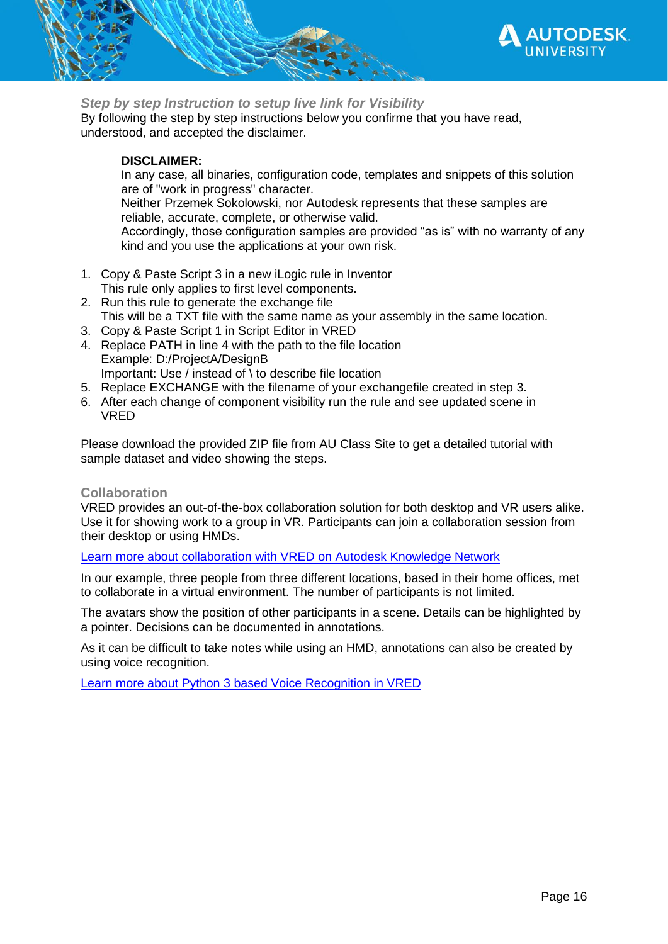

<span id="page-15-0"></span>*Step by step Instruction to setup live link for Visibility*

By following the step by step instructions below you confirme that you have read, understood, and accepted the disclaimer.

## **DISCLAIMER:**

In any case, all binaries, configuration code, templates and snippets of this solution are of "work in progress" character. Neither Przemek Sokolowski, nor Autodesk represents that these samples are reliable, accurate, complete, or otherwise valid. Accordingly, those configuration samples are provided "as is" with no warranty of any kind and you use the applications at your own risk.

- 1. Copy & Paste [Script 3](#page-14-0) in a new iLogic rule in Inventor This rule only applies to first level components.
- 2. Run this rule to generate the exchange file This will be a TXT file with the same name as your assembly in the same location.
- 3. Copy & Paste [Script 1](#page-9-3) in Script Editor in VRED
- 4. Replace PATH in line 4 with the path to the file location Example: D:/ProjectA/DesignB Important: Use / instead of \ to describe file location
- 5. Replace EXCHANGE with the filename of your exchangefile created in step 3.
- 6. After each change of component visibility run the rule and see updated scene in VRED

Please download the provided ZIP file from AU Class Site to get a detailed tutorial with sample dataset and video showing the steps.

## <span id="page-15-1"></span>**Collaboration**

VRED provides an out-of-the-box collaboration solution for both desktop and VR users alike. Use it for showing work to a group in VR. Participants can join a collaboration session from their desktop or using HMDs.

[Learn more about collaboration with VRED on Autodesk Knowledge Network](https://knowledge.autodesk.com/support/vred-products/learn-explore/caas/CloudHelp/cloudhelp/2021/ENU/VRED/files/VRED-Collaboration-html-html.html)

In our example, three people from three different locations, based in their home offices, met to collaborate in a virtual environment. The number of participants is not limited.

The avatars show the position of other participants in a scene. Details can be highlighted by a pointer. Decisions can be documented in annotations.

As it can be difficult to take notes while using an HMD, annotations can also be created by using voice recognition.

[Learn more about Python 3 based Voice Recognition in VRED](https://youtu.be/aYafEdaQeQc)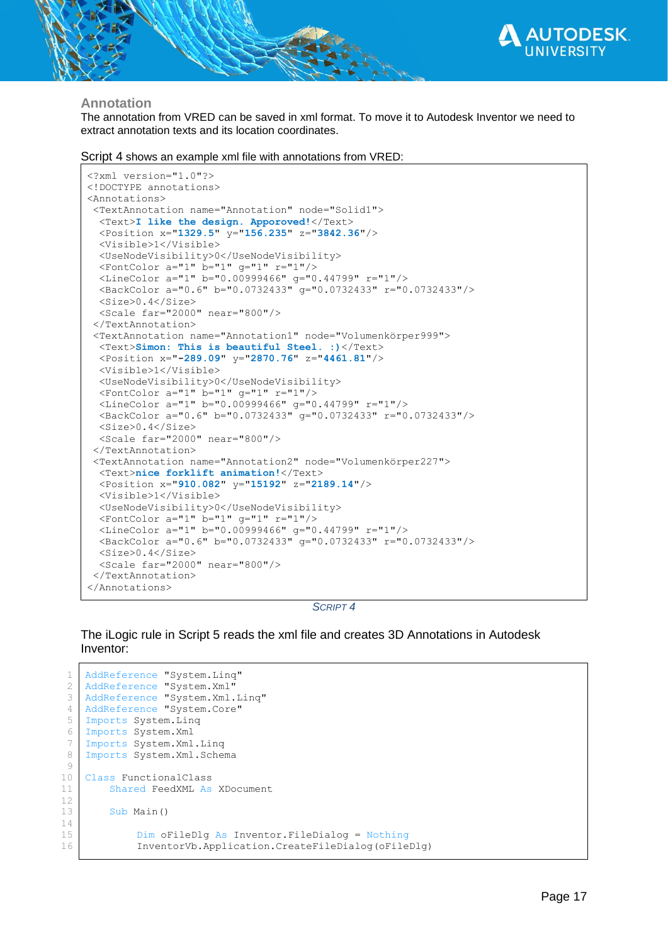

### <span id="page-16-0"></span>**Annotation**

The annotation from VRED can be saved in xml format. To move it to Autodesk Inventor we need to extract annotation texts and its location coordinates.

[Script 4](#page-16-1) shows an example xml file with annotations from VRED:

```
<?xml version="1.0"?>
<!DOCTYPE annotations>
<Annotations>
 <TextAnnotation name="Annotation" node="Solid1">
   <Text>I like the design. Apporoved!</Text>
  <Position x="1329.5" y="156.235" z="3842.36"/>
   <Visible>1</Visible>
   <UseNodeVisibility>0</UseNodeVisibility>
   <FontColor a="1" b="1" g="1" r="1"/>
   <LineColor a="1" b="0.00999466" g="0.44799" r="1"/>
   <BackColor a="0.6" b="0.0732433" g="0.0732433" r="0.0732433"/>
   <Size>0.4</Size>
   <Scale far="2000" near="800"/>
 </TextAnnotation>
 <TextAnnotation name="Annotation1" node="Volumenkörper999">
  <Text>Simon: This is beautiful Steel. :)</Text>
   <Position x="-289.09" y="2870.76" z="4461.81"/>
   <Visible>1</Visible>
   <UseNodeVisibility>0</UseNodeVisibility>
   <FontColor a="1" b="1" g="1" r="1"/>
 <LineColor a="1" b="0.00999466" g="0.44799" r="1"/>
 <BackColor a="0.6" b="0.0732433" g="0.0732433" r="0.0732433"/>
   <Size>0.4</Size>
   <Scale far="2000" near="800"/>
 </TextAnnotation>
 <TextAnnotation name="Annotation2" node="Volumenkörper227">
  <Text>nice forklift animation!</Text>
   <Position x="910.082" y="15192" z="2189.14"/>
   <Visible>1</Visible>
   <UseNodeVisibility>0</UseNodeVisibility>
   <FontColor a="1" b="1" g="1" r="1"/>
   <LineColor a="1" b="0.00999466" g="0.44799" r="1"/>
   <BackColor a="0.6" b="0.0732433" g="0.0732433" r="0.0732433"/>
   <Size>0.4</Size>
   <Scale far="2000" near="800"/>
 </TextAnnotation>
</Annotations>
```
*SCRIPT 4*

<span id="page-16-1"></span>The iLogic rule in [Script 5](#page-18-1) reads the xml file and creates 3D Annotations in Autodesk Inventor:

```
1
 2
 3
 4
 5
 6
 7
 8
 9
10
11
12
13
14
15
16
    AddReference "System.Linq"
    AddReference "System.Xml"
    AddReference "System.Xml.Linq"
    AddReference "System.Core"
    Imports System.Linq
    Imports System.Xml
    Imports System.Xml.Linq
    Imports System.Xml.Schema
   Class FunctionalClass
        Shared FeedXML As XDocument
         Sub Main()
             Dim oFileDlg As Inventor.FileDialog = Nothing
             InventorVb.Application.CreateFileDialog(oFileDlg)
```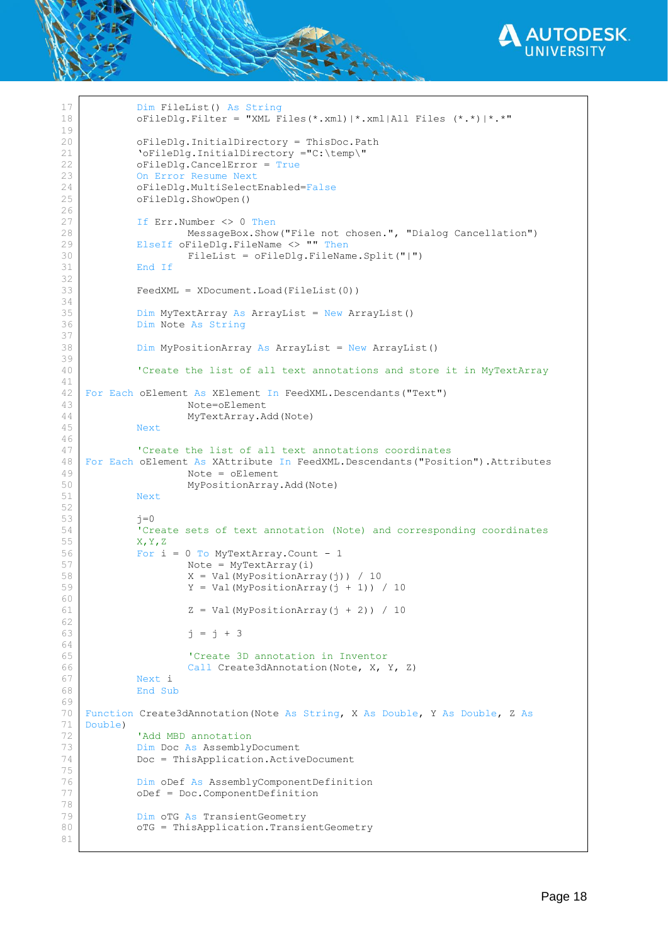

```
17
18
19
20
21
22
23
24
25
26
27
28
29
30
31
32
33
34
35
36
37
38
39
40
41
42
43
44
45
46
47
48
49
50
51
52
53
54
55
56
57
58
59
60
61
62
63
64
65
66
67
68
69
70
71
72
73
74
75
76
77
78
79
80
81
            Dim FileList() As String
            oFileDlg.Filter = "XML Files(*.xml)|*.xml|All Files (*.*)|*.*"
            oFileDlg.InitialDirectory = ThisDoc.Path
             'oFileDlg.InitialDirectory ="C:\temp\"
            oFileDlg.CancelError = True
            On Error Resume Next
            oFileDlg.MultiSelectEnabled=False
            oFileDlg.ShowOpen()
            If Err.Number <> 0 Then
                     MessageBox.Show("File not chosen.", "Dialog Cancellation")
            ElseIf oFileDlg.FileName <> "" Then
                     FileList = oFileDlg.FileName.Split("|")
            End If
            FeedXML = XDocument.Load(FileList(0))
            Dim MyTextArray As ArrayList = New ArrayList()
            Dim Note As String
            Dim MyPositionArray As ArrayList = New ArrayList()
             'Create the list of all text annotations and store it in MyTextArray
    For Each oElement As XElement In FeedXML.Descendants("Text")
                     Note=oElement
                     MyTextArray.Add(Note)
            Next
             'Create the list of all text annotations coordinates 
    For Each oElement As XAttribute In FeedXML.Descendants("Position").Attributes
                     Note = oElement
                     MyPositionArray.Add(Note)
            Next
            j=0'Create sets of text annotation (Note) and corresponding coordinates 
            X,Y,Z
            For i = 0 To MyTextArray. Count - 1
                     Note = MyTextArray(i)
                     X = Val(MyPositionArray(i)) / 10Y = Val (MyPositionArray(j + 1)) / 10Z = Val (MyPositionArray(i + 2)) / 10j = j + 3'Create 3D annotation in Inventor
                     Call Create3dAnnotation(Note, X, Y, Z)
            Next i
            End Sub
    Function Create3dAnnotation(Note As String, X As Double, Y As Double, Z As
    Double)
             'Add MBD annotation
            Dim Doc As AssemblyDocument
            Doc = ThisApplication.ActiveDocument
            Dim oDef As AssemblyComponentDefinition
            oDef = Doc.ComponentDefinition
            Dim oTG As TransientGeometry
            oTG = ThisApplication.TransientGeometry
```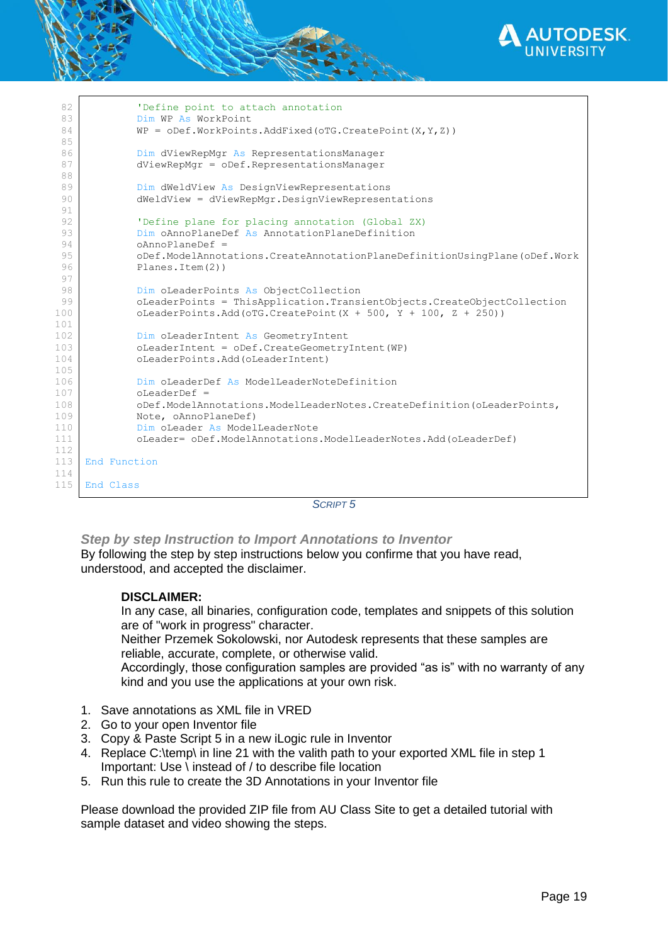

| 82         | 'Define point to attach annotation                                        |
|------------|---------------------------------------------------------------------------|
| 83         | Dim WP As WorkPoint                                                       |
| 84         | $WP = ODef.WorkPoints.AddFixed(OTG.CreatedPoint(X,Y,Z)))$                 |
| 85         |                                                                           |
| 86         | Dim dViewRepMgr As RepresentationsManager                                 |
| 87         | dViewRepMgr = oDef.RepresentationsManager                                 |
| 88         |                                                                           |
| 89         | Dim dWeldView As DesignViewRepresentations                                |
| 90         | dWeldView = dViewRepMgr.DesignViewRepresentations                         |
| 91         |                                                                           |
| 92         | 'Define plane for placing annotation (Global ZX)                          |
| 93         | Dim oAnnoPlaneDef As AnnotationPlaneDefinition                            |
| 94         | $oAnnoPlaneDef =$                                                         |
| 95         | oDef.ModelAnnotations.CreateAnnotationPlaneDefinitionUsingPlane(oDef.Work |
| 96         | Planes. Item (2))                                                         |
| 97         |                                                                           |
| 98         | Dim oLeaderPoints As ObjectCollection                                     |
| 99         | oLeaderPoints = ThisApplication.TransientObjects.CreateObjectCollection   |
| 100        | oLeaderPoints.Add(oTG.CreatePoint(X + 500, Y + 100, Z + 250))             |
| 101        |                                                                           |
| 102        | Dim oLeaderIntent As GeometryIntent                                       |
| 103        | oLeaderIntent = oDef.CreateGeometryIntent(WP)                             |
| 104        | oLeaderPoints.Add(oLeaderIntent)                                          |
| 105        |                                                                           |
| 106<br>107 | Dim oLeaderDef As ModelLeaderNoteDefinition<br>$o$ LeaderDef =            |
| 108        | oDef.ModelAnnotations.ModelLeaderNotes.CreateDefinition(oLeaderPoints,    |
| 109        | Note, oAnnoPlaneDef)                                                      |
| 110        | Dim oLeader As ModelLeaderNote                                            |
| 111        | oLeader= oDef.ModelAnnotations.ModelLeaderNotes.Add(oLeaderDef)           |
| 112        |                                                                           |
| 113        | End Function                                                              |
| 114        |                                                                           |
| 115        | End Class                                                                 |
|            |                                                                           |

*SCRIPT 5*

<span id="page-18-1"></span><span id="page-18-0"></span>*Step by step Instruction to Import Annotations to Inventor*

By following the step by step instructions below you confirme that you have read, understood, and accepted the disclaimer.

### **DISCLAIMER:**

In any case, all binaries, configuration code, templates and snippets of this solution are of "work in progress" character.

Neither Przemek Sokolowski, nor Autodesk represents that these samples are reliable, accurate, complete, or otherwise valid.

Accordingly, those configuration samples are provided "as is" with no warranty of any kind and you use the applications at your own risk.

- 1. Save annotations as XML file in VRED
- 2. Go to your open Inventor file
- 3. Copy & Paste [Script 5](#page-18-1) in a new iLogic rule in Inventor
- 4. Replace C:\temp\ in line 21 with the valith path to your exported XML file in step 1 Important: Use \ instead of / to describe file location
- 5. Run this rule to create the 3D Annotations in your Inventor file

Please download the provided ZIP file from AU Class Site to get a detailed tutorial with sample dataset and video showing the steps.